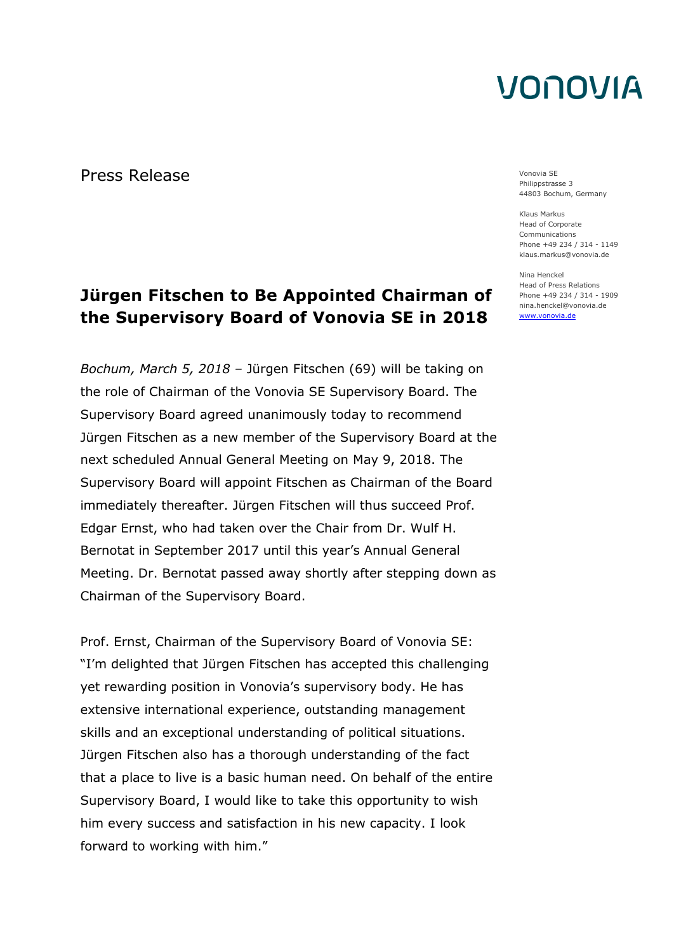Press Release Vonovia SE

#### **Jürgen Fitschen to Be Appointed Chairman of the Supervisory Board of Vonovia SE in 2018**

*Bochum, March 5, 2018 –* Jürgen Fitschen (69) will be taking on the role of Chairman of the Vonovia SE Supervisory Board. The Supervisory Board agreed unanimously today to recommend Jürgen Fitschen as a new member of the Supervisory Board at the next scheduled Annual General Meeting on May 9, 2018. The Supervisory Board will appoint Fitschen as Chairman of the Board immediately thereafter. Jürgen Fitschen will thus succeed Prof. Edgar Ernst, who had taken over the Chair from Dr. Wulf H. Bernotat in September 2017 until this year's Annual General Meeting. Dr. Bernotat passed away shortly after stepping down as Chairman of the Supervisory Board.

Prof. Ernst, Chairman of the Supervisory Board of Vonovia SE: "I'm delighted that Jürgen Fitschen has accepted this challenging yet rewarding position in Vonovia's supervisory body. He has extensive international experience, outstanding management skills and an exceptional understanding of political situations. Jürgen Fitschen also has a thorough understanding of the fact that a place to live is a basic human need. On behalf of the entire Supervisory Board, I would like to take this opportunity to wish him every success and satisfaction in his new capacity. I look forward to working with him."

Philippstrasse 3 44803 Bochum, Germany

Klaus Markus Head of Corporate Communications Phone +49 234 / 314 - 1149 klaus.markus@vonovia.de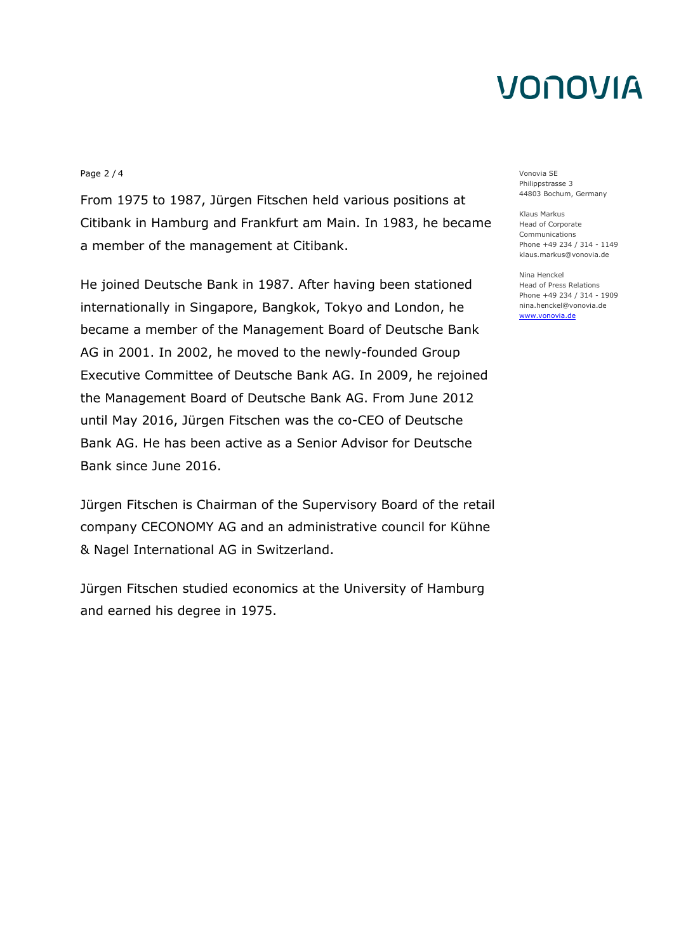#### Page 2 / 4 Vonovia SE

From 1975 to 1987, Jürgen Fitschen held various positions at Citibank in Hamburg and Frankfurt am Main. In 1983, he became a member of the management at Citibank.

He joined Deutsche Bank in 1987. After having been stationed internationally in Singapore, Bangkok, Tokyo and London, he became a member of the Management Board of Deutsche Bank AG in 2001. In 2002, he moved to the newly-founded Group Executive Committee of Deutsche Bank AG. In 2009, he rejoined the Management Board of Deutsche Bank AG. From June 2012 until May 2016, Jürgen Fitschen was the co-CEO of Deutsche Bank AG. He has been active as a Senior Advisor for Deutsche Bank since June 2016.

Jürgen Fitschen is Chairman of the Supervisory Board of the retail company CECONOMY AG and an administrative council for Kühne & Nagel International AG in Switzerland.

Jürgen Fitschen studied economics at the University of Hamburg and earned his degree in 1975.

Philippstrasse 3 44803 Bochum, Germany

Klaus Markus Head of Corporate Communications Phone +49 234 / 314 - 1149 klaus.markus@vonovia.de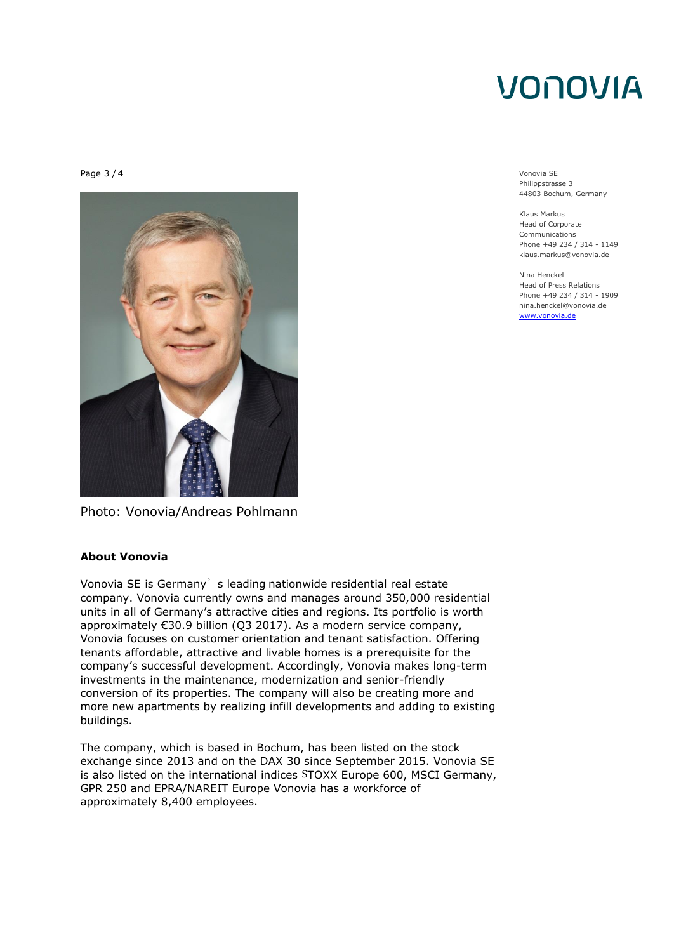Page 3 / 4 Vonovia SE



Photo: Vonovia/Andreas Pohlmann

#### **About Vonovia**

Vonovia SE is Germany's leading nationwide residential real estate company. Vonovia currently owns and manages around 350,000 residential units in all of Germany's attractive cities and regions. Its portfolio is worth approximately €30.9 billion (Q3 2017). As a modern service company, Vonovia focuses on customer orientation and tenant satisfaction. Offering tenants affordable, attractive and livable homes is a prerequisite for the company's successful development. Accordingly, Vonovia makes long-term investments in the maintenance, modernization and senior-friendly conversion of its properties. The company will also be creating more and more new apartments by realizing infill developments and adding to existing buildings.

The company, which is based in Bochum, has been listed on the stock exchange since 2013 and on the DAX 30 since September 2015. Vonovia SE is also listed on the international indices STOXX Europe 600, MSCI Germany, GPR 250 and EPRA/NAREIT Europe Vonovia has a workforce of approximately 8,400 employees.

Philippstrasse 3 44803 Bochum, Germany

Klaus Markus Head of Corporate Communications Phone +49 234 / 314 - 1149 klaus.markus@vonovia.de